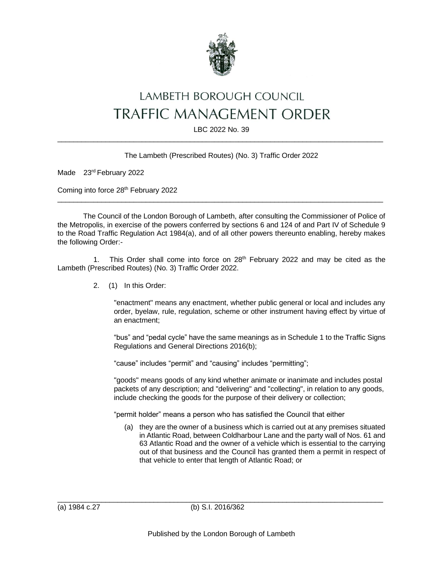

# LAMBETH BOROUGH COUNCIL TRAFFIC MANAGEMENT ORDER

LBC 2022 No. 39  $\_$  , and the set of the set of the set of the set of the set of the set of the set of the set of the set of the set of the set of the set of the set of the set of the set of the set of the set of the set of the set of th

#### The Lambeth (Prescribed Routes) (No. 3) Traffic Order 2022

Made 23rd February 2022

Coming into force 28<sup>th</sup> February 2022

The Council of the London Borough of Lambeth, after consulting the Commissioner of Police of the Metropolis, in exercise of the powers conferred by sections 6 and 124 of and Part IV of Schedule 9 to the Road Traffic Regulation Act 1984(a), and of all other powers thereunto enabling, hereby makes the following Order:-

 $\_$  , and the set of the set of the set of the set of the set of the set of the set of the set of the set of the set of the set of the set of the set of the set of the set of the set of the set of the set of the set of th

1. This Order shall come into force on  $28<sup>th</sup>$  February 2022 and may be cited as the Lambeth (Prescribed Routes) (No. 3) Traffic Order 2022.

2. (1) In this Order:

"enactment" means any enactment, whether public general or local and includes any order, byelaw, rule, regulation, scheme or other instrument having effect by virtue of an enactment;

"bus" and "pedal cycle" have the same meanings as in Schedule 1 to the Traffic Signs Regulations and General Directions 2016(b);

"cause" includes "permit" and "causing" includes "permitting";

"goods" means goods of any kind whether animate or inanimate and includes postal packets of any description; and "delivering" and "collecting", in relation to any goods, include checking the goods for the purpose of their delivery or collection;

"permit holder" means a person who has satisfied the Council that either

(a) they are the owner of a business which is carried out at any premises situated in Atlantic Road, between Coldharbour Lane and the party wall of Nos. 61 and 63 Atlantic Road and the owner of a vehicle which is essential to the carrying out of that business and the Council has granted them a permit in respect of that vehicle to enter that length of Atlantic Road; or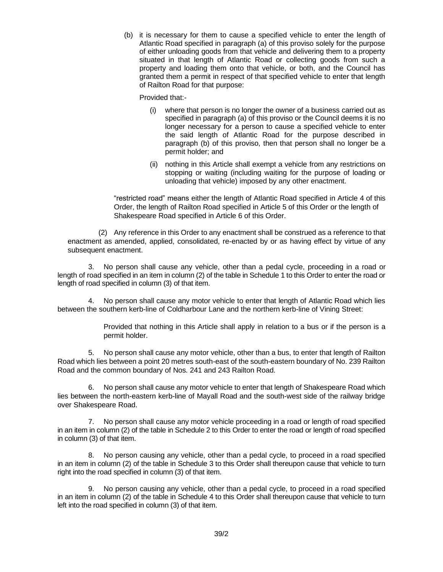(b) it is necessary for them to cause a specified vehicle to enter the length of Atlantic Road specified in paragraph (a) of this proviso solely for the purpose of either unloading goods from that vehicle and delivering them to a property situated in that length of Atlantic Road or collecting goods from such a property and loading them onto that vehicle, or both, and the Council has granted them a permit in respect of that specified vehicle to enter that length of Railton Road for that purpose:

Provided that:-

- (i) where that person is no longer the owner of a business carried out as specified in paragraph (a) of this proviso or the Council deems it is no longer necessary for a person to cause a specified vehicle to enter the said length of Atlantic Road for the purpose described in paragraph (b) of this proviso, then that person shall no longer be a permit holder; and
- (ii) nothing in this Article shall exempt a vehicle from any restrictions on stopping or waiting (including waiting for the purpose of loading or unloading that vehicle) imposed by any other enactment.

"restricted road" means either the length of Atlantic Road specified in Article 4 of this Order, the length of Railton Road specified in Article 5 of this Order or the length of Shakespeare Road specified in Article 6 of this Order.

(2) Any reference in this Order to any enactment shall be construed as a reference to that enactment as amended, applied, consolidated, re-enacted by or as having effect by virtue of any subsequent enactment.

3. No person shall cause any vehicle, other than a pedal cycle, proceeding in a road or length of road specified in an item in column (2) of the table in Schedule 1 to this Order to enter the road or length of road specified in column (3) of that item.

4. No person shall cause any motor vehicle to enter that length of Atlantic Road which lies between the southern kerb-line of Coldharbour Lane and the northern kerb-line of Vining Street:

> Provided that nothing in this Article shall apply in relation to a bus or if the person is a permit holder.

5. No person shall cause any motor vehicle, other than a bus, to enter that length of Railton Road which lies between a point 20 metres south-east of the south-eastern boundary of No. 239 Railton Road and the common boundary of Nos. 241 and 243 Railton Road.

6. No person shall cause any motor vehicle to enter that length of Shakespeare Road which lies between the north-eastern kerb-line of Mayall Road and the south-west side of the railway bridge over Shakespeare Road.

7. No person shall cause any motor vehicle proceeding in a road or length of road specified in an item in column (2) of the table in Schedule 2 to this Order to enter the road or length of road specified in column (3) of that item.

8. No person causing any vehicle, other than a pedal cycle, to proceed in a road specified in an item in column (2) of the table in Schedule 3 to this Order shall thereupon cause that vehicle to turn right into the road specified in column (3) of that item.

9. No person causing any vehicle, other than a pedal cycle, to proceed in a road specified in an item in column (2) of the table in Schedule 4 to this Order shall thereupon cause that vehicle to turn left into the road specified in column (3) of that item.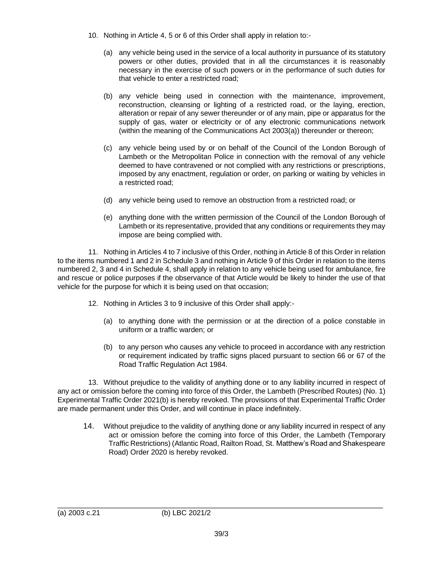- 10. Nothing in Article 4, 5 or 6 of this Order shall apply in relation to:-
	- (a) any vehicle being used in the service of a local authority in pursuance of its statutory powers or other duties, provided that in all the circumstances it is reasonably necessary in the exercise of such powers or in the performance of such duties for that vehicle to enter a restricted road;
	- (b) any vehicle being used in connection with the maintenance, improvement, reconstruction, cleansing or lighting of a restricted road, or the laying, erection, alteration or repair of any sewer thereunder or of any main, pipe or apparatus for the supply of gas, water or electricity or of any electronic communications network (within the meaning of the Communications Act 2003(a)) thereunder or thereon;
	- (c) any vehicle being used by or on behalf of the Council of the London Borough of Lambeth or the Metropolitan Police in connection with the removal of any vehicle deemed to have contravened or not complied with any restrictions or prescriptions, imposed by any enactment, regulation or order, on parking or waiting by vehicles in a restricted road;
	- (d) any vehicle being used to remove an obstruction from a restricted road; or
	- (e) anything done with the written permission of the Council of the London Borough of Lambeth or its representative, provided that any conditions or requirements they may impose are being complied with.

11. Nothing in Articles 4 to 7 inclusive of this Order, nothing in Article 8 of this Order in relation to the items numbered 1 and 2 in Schedule 3 and nothing in Article 9 of this Order in relation to the items numbered 2, 3 and 4 in Schedule 4, shall apply in relation to any vehicle being used for ambulance, fire and rescue or police purposes if the observance of that Article would be likely to hinder the use of that vehicle for the purpose for which it is being used on that occasion;

- 12. Nothing in Articles 3 to 9 inclusive of this Order shall apply:-
	- (a) to anything done with the permission or at the direction of a police constable in uniform or a traffic warden; or
	- (b) to any person who causes any vehicle to proceed in accordance with any restriction or requirement indicated by traffic signs placed pursuant to section 66 or 67 of the Road Traffic Regulation Act 1984.

13. Without prejudice to the validity of anything done or to any liability incurred in respect of any act or omission before the coming into force of this Order, the Lambeth (Prescribed Routes) (No. 1) Experimental Traffic Order 2021(b) is hereby revoked. The provisions of that Experimental Traffic Order are made permanent under this Order, and will continue in place indefinitely.

14. Without prejudice to the validity of anything done or any liability incurred in respect of any act or omission before the coming into force of this Order, the Lambeth (Temporary Traffic Restrictions) (Atlantic Road, Railton Road, St. Matthew's Road and Shakespeare Road) Order 2020 is hereby revoked.

 $\_$  , and the set of the set of the set of the set of the set of the set of the set of the set of the set of the set of the set of the set of the set of the set of the set of the set of the set of the set of the set of th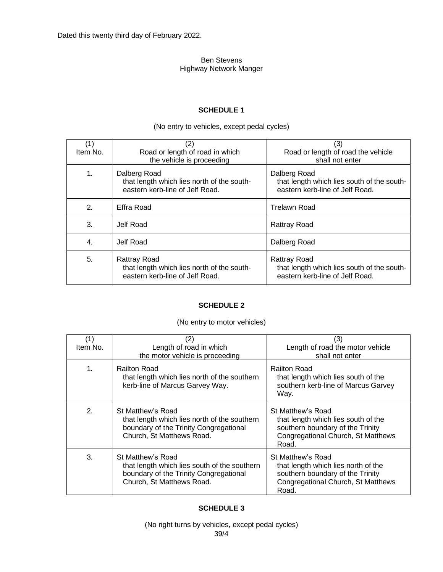Dated this twenty third day of February 2022.

#### Ben Stevens Highway Network Manger

#### **SCHEDULE 1**

# (No entry to vehicles, except pedal cycles)

| (1)<br>Item No. | (2)<br>Road or length of road in which<br>the vehicle is proceeding                           | (3)<br>Road or length of road the vehicle<br>shall not enter                                         |
|-----------------|-----------------------------------------------------------------------------------------------|------------------------------------------------------------------------------------------------------|
| 1.              | Dalberg Road<br>that length which lies north of the south-<br>eastern kerb-line of Jelf Road. | Dalberg Road<br>that length which lies south of the south-<br>eastern kerb-line of Jelf Road.        |
| 2.              | Effra Road                                                                                    | <b>Trelawn Road</b>                                                                                  |
| 3.              | Jelf Road                                                                                     | <b>Rattray Road</b>                                                                                  |
| 4.              | Jelf Road                                                                                     | Dalberg Road                                                                                         |
| 5.              | Rattray Road<br>that length which lies north of the south-<br>eastern kerb-line of Jelf Road. | <b>Rattray Road</b><br>that length which lies south of the south-<br>eastern kerb-line of Jelf Road. |

#### **SCHEDULE 2**

#### (No entry to motor vehicles)

| (1)<br>Item No. | (2)<br>Length of road in which<br>the motor vehicle is proceeding                                                                        | (3)<br>Length of road the motor vehicle<br>shall not enter                                                                                  |
|-----------------|------------------------------------------------------------------------------------------------------------------------------------------|---------------------------------------------------------------------------------------------------------------------------------------------|
| $\mathbf{1}$ .  | <b>Railton Road</b><br>that length which lies north of the southern<br>kerb-line of Marcus Garvey Way.                                   | <b>Railton Road</b><br>that length which lies south of the<br>southern kerb-line of Marcus Garvey<br>Way.                                   |
| $\mathbf{2}$    | St Matthew's Road<br>that length which lies north of the southern<br>boundary of the Trinity Congregational<br>Church, St Matthews Road. | St Matthew's Road<br>that length which lies south of the<br>southern boundary of the Trinity<br>Congregational Church, St Matthews<br>Road. |
| 3.              | St Matthew's Road<br>that length which lies south of the southern<br>boundary of the Trinity Congregational<br>Church, St Matthews Road. | St Matthew's Road<br>that length which lies north of the<br>southern boundary of the Trinity<br>Congregational Church, St Matthews<br>Road. |

#### **SCHEDULE 3**

39/4 (No right turns by vehicles, except pedal cycles)